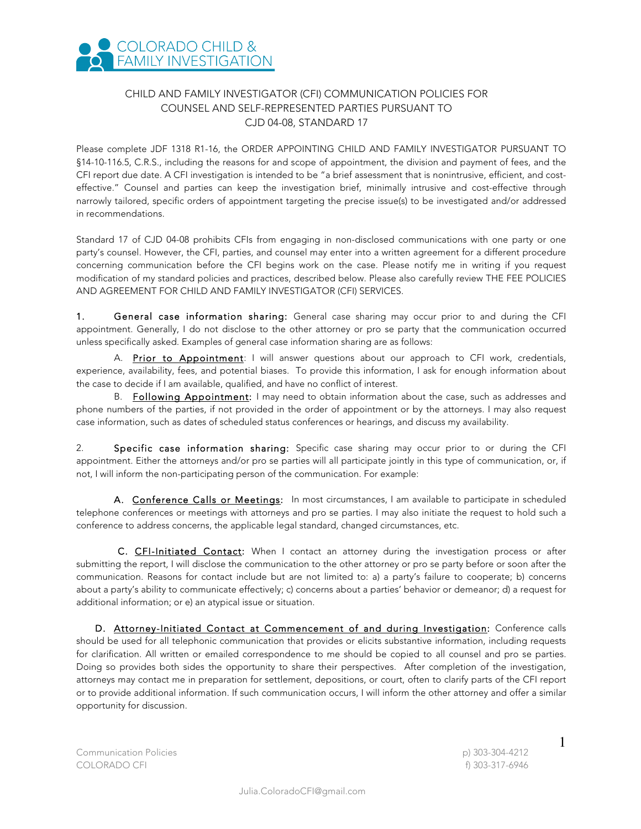

## CHILD AND FAMILY INVESTIGATOR (CFI) COMMUNICATION POLICIES FOR COUNSEL AND SELF-REPRESENTED PARTIES PURSUANT TO CJD 04-08, STANDARD 17

Please complete JDF 1318 R1-16, the ORDER APPOINTING CHILD AND FAMILY INVESTIGATOR PURSUANT TO §14-10-116.5, C.R.S., including the reasons for and scope of appointment, the division and payment of fees, and the CFI report due date. A CFI investigation is intended to be "a brief assessment that is nonintrusive, efficient, and costeffective." Counsel and parties can keep the investigation brief, minimally intrusive and cost-effective through narrowly tailored, specific orders of appointment targeting the precise issue(s) to be investigated and/or addressed in recommendations.

Standard 17 of CJD 04-08 prohibits CFIs from engaging in non-disclosed communications with one party or one party's counsel. However, the CFI, parties, and counsel may enter into a written agreement for a different procedure concerning communication before the CFI begins work on the case. Please notify me in writing if you request modification of my standard policies and practices, described below. Please also carefully review THE FEE POLICIES AND AGREEMENT FOR CHILD AND FAMILY INVESTIGATOR (CFI) SERVICES.

1. General case information sharing: General case sharing may occur prior to and during the CFI appointment. Generally, I do not disclose to the other attorney or pro se party that the communication occurred unless specifically asked. Examples of general case information sharing are as follows:

A. Prior to Appointment: I will answer questions about our approach to CFI work, credentials, experience, availability, fees, and potential biases. To provide this information, I ask for enough information about the case to decide if I am available, qualified, and have no conflict of interest.

B. Following Appointment: I may need to obtain information about the case, such as addresses and phone numbers of the parties, if not provided in the order of appointment or by the attorneys. I may also request case information, such as dates of scheduled status conferences or hearings, and discuss my availability.

2. Specific case information sharing: Specific case sharing may occur prior to or during the CFI appointment. Either the attorneys and/or pro se parties will all participate jointly in this type of communication, or, if not, I will inform the non-participating person of the communication. For example:

A. Conference Calls or Meetings: In most circumstances, I am available to participate in scheduled telephone conferences or meetings with attorneys and pro se parties. I may also initiate the request to hold such a conference to address concerns, the applicable legal standard, changed circumstances, etc.

C. CFI-Initiated Contact: When I contact an attorney during the investigation process or after submitting the report, I will disclose the communication to the other attorney or pro se party before or soon after the communication. Reasons for contact include but are not limited to: a) a party's failure to cooperate; b) concerns about a party's ability to communicate effectively; c) concerns about a parties' behavior or demeanor; d) a request for additional information; or e) an atypical issue or situation.

D. Attorney-Initiated Contact at Commencement of and during Investigation: Conference calls should be used for all telephonic communication that provides or elicits substantive information, including requests for clarification. All written or emailed correspondence to me should be copied to all counsel and pro se parties. Doing so provides both sides the opportunity to share their perspectives. After completion of the investigation, attorneys may contact me in preparation for settlement, depositions, or court, often to clarify parts of the CFI report or to provide additional information. If such communication occurs, I will inform the other attorney and offer a similar opportunity for discussion.

Communication Policies p) 303-304-4212 COLORADO CFI f) 303-317-6946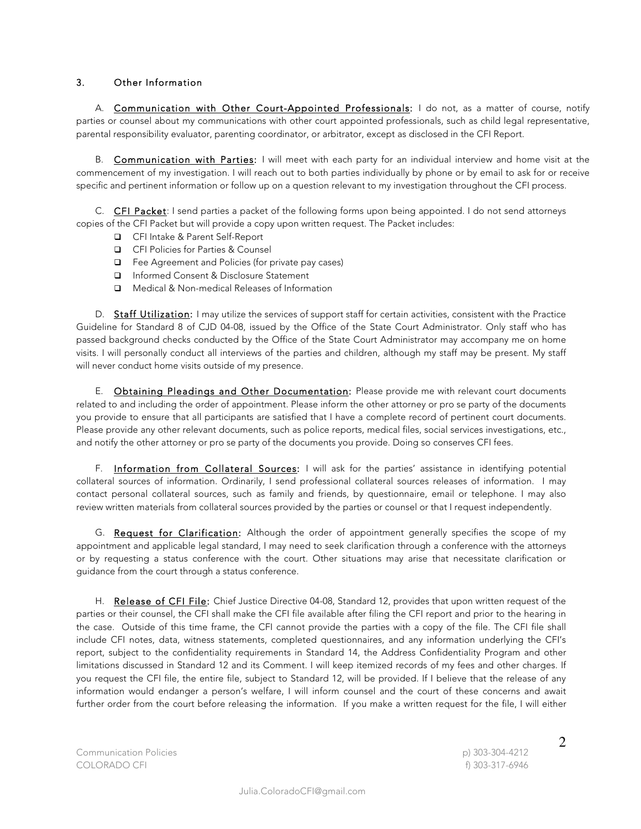## 3. Other Information

A. Communication with Other Court-Appointed Professionals: I do not, as a matter of course, notify parties or counsel about my communications with other court appointed professionals, such as child legal representative, parental responsibility evaluator, parenting coordinator, or arbitrator, except as disclosed in the CFI Report.

B. Communication with Parties: I will meet with each party for an individual interview and home visit at the commencement of my investigation. I will reach out to both parties individually by phone or by email to ask for or receive specific and pertinent information or follow up on a question relevant to my investigation throughout the CFI process.

C. CFI Packet: I send parties a packet of the following forms upon being appointed. I do not send attorneys copies of the CFI Packet but will provide a copy upon written request. The Packet includes:

- q CFI Intake & Parent Self-Report
- **□** CFI Policies for Parties & Counsel
- $\Box$  Fee Agreement and Policies (for private pay cases)
- □ Informed Consent & Disclosure Statement
- q Medical & Non-medical Releases of Information

D. Staff Utilization: I may utilize the services of support staff for certain activities, consistent with the Practice Guideline for Standard 8 of CJD 04-08, issued by the Office of the State Court Administrator. Only staff who has passed background checks conducted by the Office of the State Court Administrator may accompany me on home visits. I will personally conduct all interviews of the parties and children, although my staff may be present. My staff will never conduct home visits outside of my presence.

E. **Obtaining Pleadings and Other Documentation:** Please provide me with relevant court documents related to and including the order of appointment. Please inform the other attorney or pro se party of the documents you provide to ensure that all participants are satisfied that I have a complete record of pertinent court documents. Please provide any other relevant documents, such as police reports, medical files, social services investigations, etc., and notify the other attorney or pro se party of the documents you provide. Doing so conserves CFI fees.

F. Information from Collateral Sources: I will ask for the parties' assistance in identifying potential collateral sources of information. Ordinarily, I send professional collateral sources releases of information. I may contact personal collateral sources, such as family and friends, by questionnaire, email or telephone. I may also review written materials from collateral sources provided by the parties or counsel or that I request independently.

G. Request for Clarification: Although the order of appointment generally specifies the scope of my appointment and applicable legal standard, I may need to seek clarification through a conference with the attorneys or by requesting a status conference with the court. Other situations may arise that necessitate clarification or guidance from the court through a status conference.

H. Release of CFI File: Chief Justice Directive 04-08, Standard 12, provides that upon written request of the parties or their counsel, the CFI shall make the CFI file available after filing the CFI report and prior to the hearing in the case. Outside of this time frame, the CFI cannot provide the parties with a copy of the file. The CFI file shall include CFI notes, data, witness statements, completed questionnaires, and any information underlying the CFI's report, subject to the confidentiality requirements in Standard 14, the Address Confidentiality Program and other limitations discussed in Standard 12 and its Comment. I will keep itemized records of my fees and other charges. If you request the CFI file, the entire file, subject to Standard 12, will be provided. If I believe that the release of any information would endanger a person's welfare, I will inform counsel and the court of these concerns and await further order from the court before releasing the information. If you make a written request for the file, I will either

Communication Policies p) 303-304-4212 COLORADO CFI f) 303-317-6946